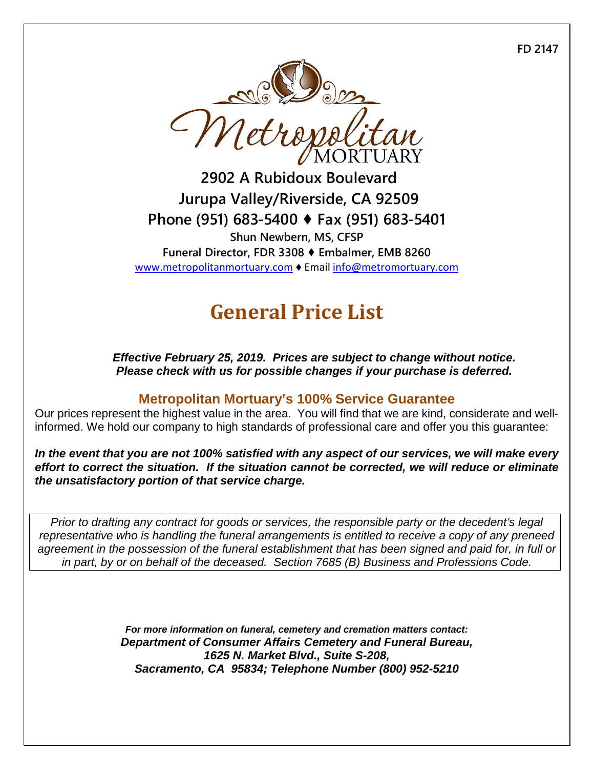**FD 2147**



**2902 A Rubidoux Boulevard Jurupa Valley/Riverside, CA 92509 Phone (951) 683-5400 ♦ Fax (951) 683-5401 Shun Newbern, MS, CFSP Funeral Director, FDR 3308 ♦ Embalmer, EMB 8260** [www.metropolitanmortuary.com](http://www.metropolitanmortuary.com/) ♦ Email [info@metromortuary.com](mailto:info@metromortuary.com)

# **General Price List**

*Effective February 25, 2019. Prices are subject to change without notice. Please check with us for possible changes if your purchase is deferred.*

### **Metropolitan Mortuary's 100% Service Guarantee**

Our prices represent the highest value in the area. You will find that we are kind, considerate and wellinformed. We hold our company to high standards of professional care and offer you this guarantee:

*In the event that you are not 100% satisfied with any aspect of our services, we will make every*  effort to correct the situation. If the situation cannot be corrected, we will reduce or eliminate *the unsatisfactory portion of that service charge.*

*Prior to drafting any contract for goods or services, the responsible party or the decedent's legal representative who is handling the funeral arrangements is entitled to receive a copy of any preneed agreement in the possession of the funeral establishment that has been signed and paid for, in full or in part, by or on behalf of the deceased. Section 7685 (B) Business and Professions Code.*

> *For more information on funeral, cemetery and cremation matters contact: Department of Consumer Affairs Cemetery and Funeral Bureau, 1625 N. Market Blvd., Suite S-208, Sacramento, CA 95834; Telephone Number (800) 952-5210*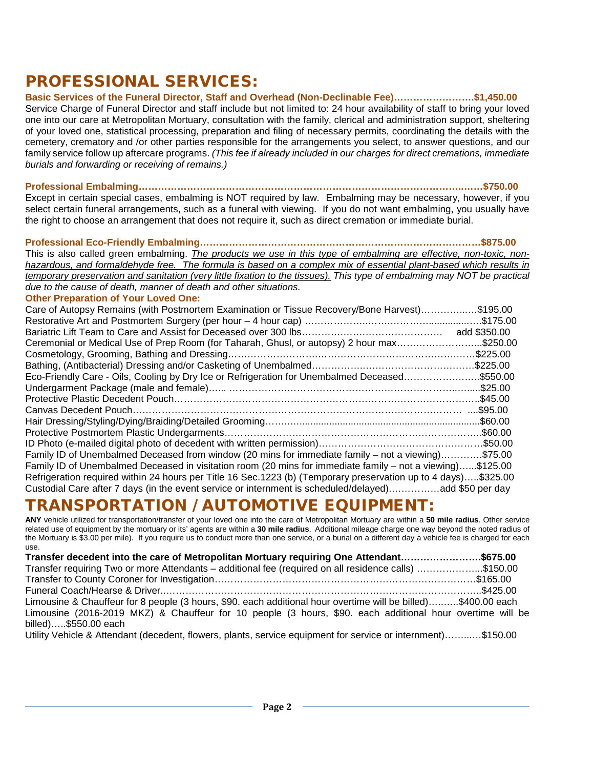### PROFESSIONAL SERVICES:

**Basic Services of the Funeral Director, Staff and Overhead (Non-Declinable Fee)…………………….\$1,450.00**

Service Charge of Funeral Director and staff include but not limited to: 24 hour availability of staff to bring your loved one into our care at Metropolitan Mortuary, consultation with the family, clerical and administration support, sheltering of your loved one, statistical processing, preparation and filing of necessary permits, coordinating the details with the cemetery, crematory and /or other parties responsible for the arrangements you select, to answer questions, and our family service follow up aftercare programs. *(This fee if already included in our charges for direct cremations, immediate burials and forwarding or receiving of remains.)*

**Professional Embalming………………………………………………………………………………………..……\$750.00** Except in certain special cases, embalming is NOT required by law. Embalming may be necessary, however, if you

select certain funeral arrangements, such as a funeral with viewing. If you do not want embalming, you usually have the right to choose an arrangement that does not require it, such as direct cremation or immediate burial.

#### **Professional Eco-Friendly Embalming……………………………………………………………………………\$875.00**

This is also called green embalming. *The products we use in this type of embalming are effective, non-toxic, nonhazardous, and formaldehyde free. The formula is based on a complex mix of essential plant-based which results in temporary preservation and sanitation (very little fixation to the tissues). This type of embalming may NOT be practical due to the cause of death, manner of death and other situations.* 

#### **Other Preparation of Your Loved One:**

| Care of Autopsy Remains (with Postmortem Examination or Tissue Recovery/Bone Harvest)\$195.00                  |              |
|----------------------------------------------------------------------------------------------------------------|--------------|
|                                                                                                                | add \$350.00 |
| Ceremonial or Medical Use of Prep Room (for Taharah, Ghusl, or autopsy) 2 hour max\$250.00                     |              |
|                                                                                                                |              |
|                                                                                                                |              |
| Eco-Friendly Care - Oils, Cooling by Dry Ice or Refrigeration for Unembalmed Deceased\$550.00                  |              |
|                                                                                                                |              |
|                                                                                                                | .\$45.00     |
|                                                                                                                | .\$95.00     |
|                                                                                                                | .\$60.00     |
|                                                                                                                |              |
|                                                                                                                |              |
| Family ID of Unembalmed Deceased from window (20 mins for immediate family – not a viewing)\$75.00             |              |
| Family ID of Unembalmed Deceased in visitation room (20 mins for immediate family – not a viewing)\$125.00     |              |
| Refrigeration required within 24 hours per Title 16 Sec.1223 (b) (Temporary preservation up to 4 days)\$325.00 |              |
| Custodial Care after 7 days (in the event service or internment is scheduled/delayed)add \$50 per day          |              |

### TRANSPORTATION / AUTOMOTIVE EQUIPMENT:

**ANY** vehicle utilized for transportation/transfer of your loved one into the care of Metropolitan Mortuary are within a **50 mile radius**. Other service related use of equipment by the mortuary or its' agents are within a **30 mile radius**. Additional mileage charge one way beyond the noted radius of the Mortuary is \$3.00 per mile). If you require us to conduct more than one service, or a burial on a different day a vehicle fee is charged for each use.

| Transfer decedent into the care of Metropolitan Mortuary requiring One Attendant\$675.00                      |       |
|---------------------------------------------------------------------------------------------------------------|-------|
| Transfer requiring Two or more Attendants – additional fee (required on all residence calls) \$150.00         |       |
|                                                                                                               |       |
|                                                                                                               |       |
| Limousine & Chauffeur for 8 people (3 hours, \$90. each additional hour overtime will be billed)\$400.00 each |       |
| Limousine (2016-2019 MKZ) & Chauffeur for 10 people (3 hours, \$90. each additional hour overtime will be     |       |
| billed)\$550.00 each                                                                                          |       |
| $I$ Hility Vabiale $\Omega$ Attendant (decedent flowers plants service equipment for service or interprenent) | 45000 |

Utility Vehicle & Attendant (decedent, flowers, plants, service equipment for service or internment)……...…\$150.00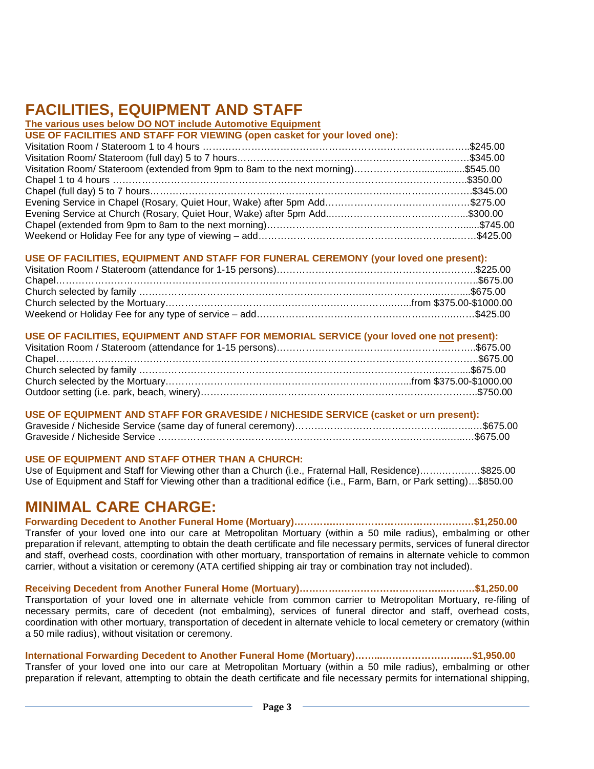## **FACILITIES, EQUIPMENT AND STAFF**

#### **The various uses below DO NOT include Automotive Equipment**

#### **USE OF FACILITIES, EQUIPMENT AND STAFF FOR FUNERAL CEREMONY (your loved one present):**

#### **USE OF FACILITIES, EQUIPMENT AND STAFF FOR MEMORIAL SERVICE (your loved one not present):**

#### **USE OF EQUIPMENT AND STAFF FOR GRAVESIDE / NICHESIDE SERVICE (casket or urn present):**

#### **USE OF EQUIPMENT AND STAFF OTHER THAN A CHURCH:**

Use of Equipment and Staff for Viewing other than a Church (i.e., Fraternal Hall, Residence)…….…………\$825.00 Use of Equipment and Staff for Viewing other than a traditional edifice (i.e., Farm, Barn, or Park setting)…\$850.00

### **MINIMAL CARE CHARGE:**

**Forwarding Decedent to Another Funeral Home (Mortuary)………….………………………………….…\$1,250.00** Transfer of your loved one into our care at Metropolitan Mortuary (within a 50 mile radius), embalming or other preparation if relevant, attempting to obtain the death certificate and file necessary permits, services of funeral director and staff, overhead costs, coordination with other mortuary, transportation of remains in alternate vehicle to common

carrier, without a visitation or ceremony (ATA certified shipping air tray or combination tray not included).

**Receiving Decedent from Another Funeral Home (Mortuary)………….…………………………...………\$1,250.00** Transportation of your loved one in alternate vehicle from common carrier to Metropolitan Mortuary, re-filing of necessary permits, care of decedent (not embalming), services of funeral director and staff, overhead costs, coordination with other mortuary, transportation of decedent in alternate vehicle to local cemetery or crematory (within a 50 mile radius), without visitation or ceremony.

#### **International Forwarding Decedent to Another Funeral Home (Mortuary)……...…………………….…\$1,950.00**

Transfer of your loved one into our care at Metropolitan Mortuary (within a 50 mile radius), embalming or other preparation if relevant, attempting to obtain the death certificate and file necessary permits for international shipping,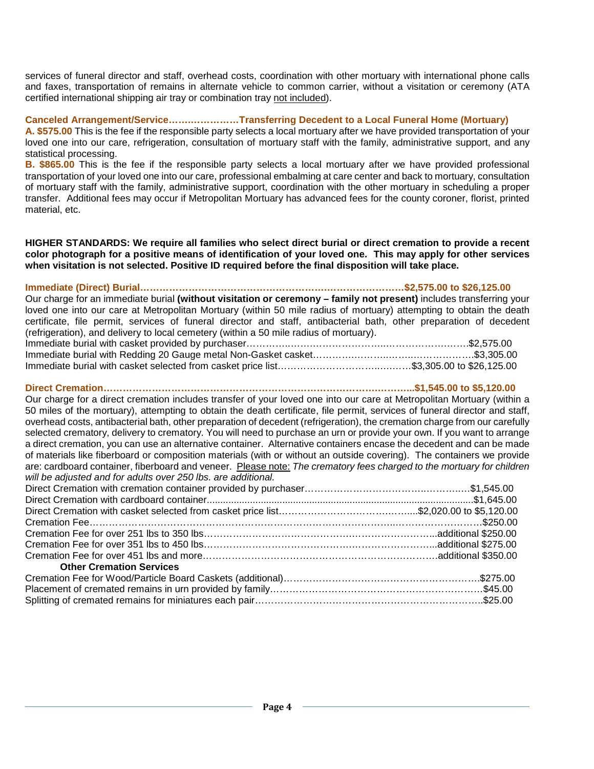services of funeral director and staff, overhead costs, coordination with other mortuary with international phone calls and faxes, transportation of remains in alternate vehicle to common carrier, without a visitation or ceremony (ATA certified international shipping air tray or combination tray not included).

#### **Canceled Arrangement/Service…….……………Transferring Decedent to a Local Funeral Home (Mortuary)**

**A. \$575.00** This is the fee if the responsible party selects a local mortuary after we have provided transportation of your loved one into our care, refrigeration, consultation of mortuary staff with the family, administrative support, and any statistical processing.

**B. \$865.00** This is the fee if the responsible party selects a local mortuary after we have provided professional transportation of your loved one into our care, professional embalming at care center and back to mortuary, consultation of mortuary staff with the family, administrative support, coordination with the other mortuary in scheduling a proper transfer. Additional fees may occur if Metropolitan Mortuary has advanced fees for the county coroner, florist, printed material, etc.

**HIGHER STANDARDS: We require all families who select direct burial or direct cremation to provide a recent color photograph for a positive means of identification of your loved one. This may apply for other services when visitation is not selected. Positive ID required before the final disposition will take place.**

**Immediate (Direct) Burial………………………………………………….……………………\$2,575.00 to \$26,125.00** Our charge for an immediate burial **(without visitation or ceremony – family not present)** includes transferring your loved one into our care at Metropolitan Mortuary (within 50 mile radius of mortuary) attempting to obtain the death certificate, file permit, services of funeral director and staff, antibacterial bath, other preparation of decedent (refrigeration), and delivery to local cemetery (within a 50 mile radius of mortuary).

#### **Direct Cremation………………………………………………………………………….………...\$1,545.00 to \$5,120.00**

Our charge for a direct cremation includes transfer of your loved one into our care at Metropolitan Mortuary (within a 50 miles of the mortuary), attempting to obtain the death certificate, file permit, services of funeral director and staff, overhead costs, antibacterial bath, other preparation of decedent (refrigeration), the cremation charge from our carefully selected crematory, delivery to crematory. You will need to purchase an urn or provide your own. If you want to arrange a direct cremation, you can use an alternative container. Alternative containers encase the decedent and can be made of materials like fiberboard or composition materials (with or without an outside covering). The containers we provide are: cardboard container, fiberboard and veneer. Please note: *The crematory fees charged to the mortuary for children will be adjusted and for adults over 250 lbs. are additional.*

| <b>Other Cremation Services</b> |  |
|---------------------------------|--|
|                                 |  |
|                                 |  |
|                                 |  |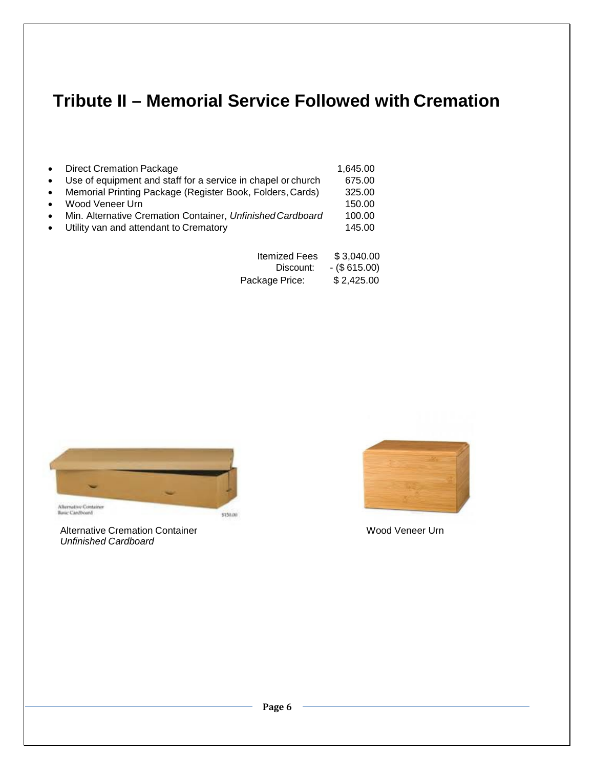## **Tribute II – Memorial Service Followed with Cremation**

| $\bullet$ | <b>Direct Cremation Package</b>                                | 1,645.00 |
|-----------|----------------------------------------------------------------|----------|
|           | • Use of equipment and staff for a service in chapel or church | 675.00   |
|           | • Memorial Printing Package (Register Book, Folders, Cards)    | 325.00   |
| $\bullet$ | Wood Veneer Urn                                                | 150.00   |
| $\bullet$ | Min. Alternative Cremation Container, Unfinished Cardboard     | 100.00   |
| $\bullet$ | Utility van and attendant to Crematory                         | 145.00   |
|           |                                                                |          |

| <b>Itemized Fees</b> | \$3,040.00   |
|----------------------|--------------|
| Discount:            | $-($615.00)$ |
| Package Price:       | \$2,425.00   |



Alternative Cremation Container Wood Veneer Urn *Unfinished Cardboard*

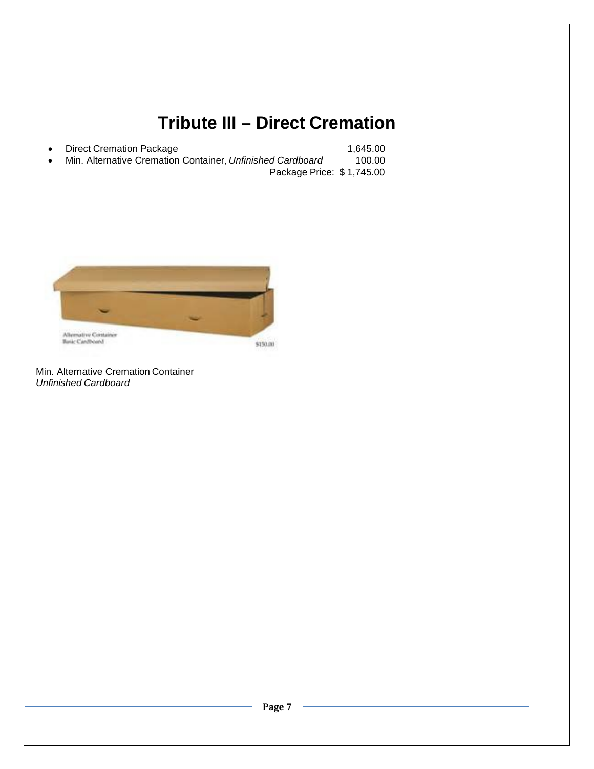## **Tribute III – Direct Cremation**

| $\bullet$ | Direct Cremation Package                                   | 1.645.00 |
|-----------|------------------------------------------------------------|----------|
| $\bullet$ | Min. Alternative Cremation Container, Unfinished Cardboard | 100.00   |
|           | Package Price: \$1,745.00                                  |          |



Min. Alternative Cremation Container *Unfinished Cardboard*

**Page 7**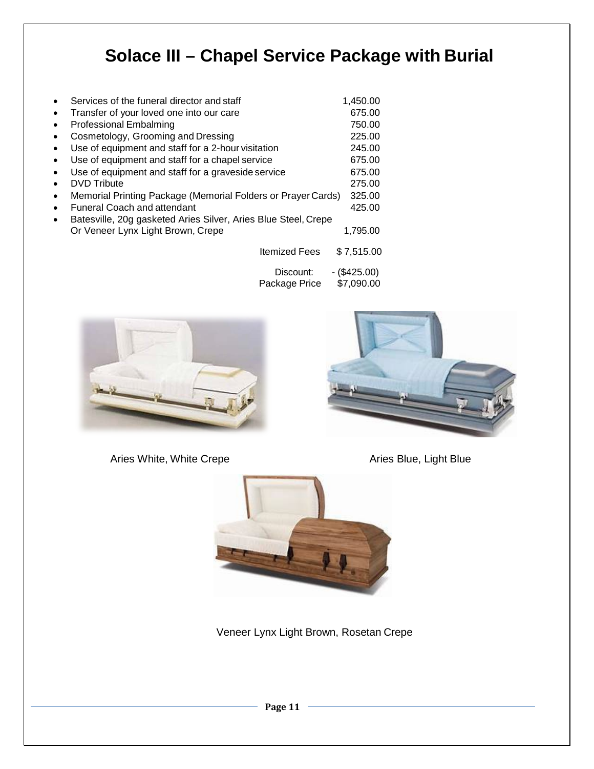# **Solace III – Chapel Service Package with Burial**

|           | Services of the funeral director and staff                                                          | 1,450.00                   |
|-----------|-----------------------------------------------------------------------------------------------------|----------------------------|
| $\bullet$ | Transfer of your loved one into our care                                                            | 675.00                     |
| $\bullet$ | <b>Professional Embalming</b>                                                                       | 750.00                     |
| $\bullet$ | Cosmetology, Grooming and Dressing                                                                  | 225.00                     |
| $\bullet$ | Use of equipment and staff for a 2-hour visitation                                                  | 245.00                     |
| $\bullet$ | Use of equipment and staff for a chapel service                                                     | 675.00                     |
| $\bullet$ | Use of equipment and staff for a graveside service                                                  | 675.00                     |
| $\bullet$ | DVD Tribute                                                                                         | 275.00                     |
| $\bullet$ | Memorial Printing Package (Memorial Folders or Prayer Cards)                                        | 325.00                     |
| $\bullet$ | <b>Funeral Coach and attendant</b>                                                                  | 425.00                     |
| $\bullet$ | Batesville, 20g gasketed Aries Silver, Aries Blue Steel, Crepe<br>Or Veneer Lynx Light Brown, Crepe | 1.795.00                   |
|           | <b>Itemized Fees</b>                                                                                | \$7,515.00                 |
|           | Discount:<br>Package Price                                                                          | - (\$425.00)<br>\$7,090.00 |



Aries White, White Crepe **Aries Blue, Light Blue** 





Veneer Lynx Light Brown, Rosetan Crepe